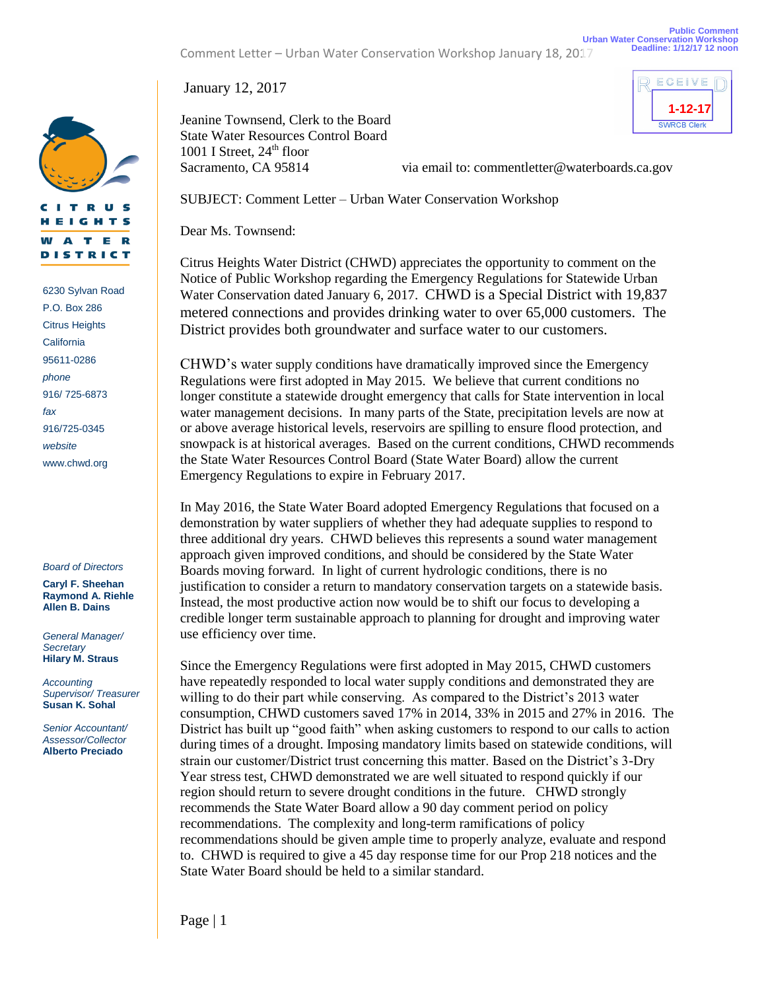Jeanine Townsend, Clerk to the Board State Water Resources Control Board 1001 I Street,  $24<sup>th</sup>$  floor

Sacramento, CA 95814 via email to: commentletter@waterboards.ca.gov

SUBJECT: Comment Letter – Urban Water Conservation Workshop

Dear Ms. Townsend:

Citrus Heights Water District (CHWD) appreciates the opportunity to comment on the Notice of Public Workshop regarding the Emergency Regulations for Statewide Urban Water Conservation dated January 6, 2017. CHWD is a Special District with 19,837 metered connections and provides drinking water to over 65,000 customers. The District provides both groundwater and surface water to our customers.

CHWD's water supply conditions have dramatically improved since the Emergency Regulations were first adopted in May 2015. We believe that current conditions no longer constitute a statewide drought emergency that calls for State intervention in local water management decisions. In many parts of the State, precipitation levels are now at or above average historical levels, reservoirs are spilling to ensure flood protection, and snowpack is at historical averages. Based on the current conditions, CHWD recommends the State Water Resources Control Board (State Water Board) allow the current Emergency Regulations to expire in February 2017.

In May 2016, the State Water Board adopted Emergency Regulations that focused on a demonstration by water suppliers of whether they had adequate supplies to respond to three additional dry years. CHWD believes this represents a sound water management approach given improved conditions, and should be considered by the State Water Boards moving forward. In light of current hydrologic conditions, there is no justification to consider a return to mandatory conservation targets on a statewide basis. Instead, the most productive action now would be to shift our focus to developing a credible longer term sustainable approach to planning for drought and improving water use efficiency over time.

Since the Emergency Regulations were first adopted in May 2015, CHWD customers have repeatedly responded to local water supply conditions and demonstrated they are willing to do their part while conserving. As compared to the District's 2013 water consumption, CHWD customers saved 17% in 2014, 33% in 2015 and 27% in 2016. The District has built up "good faith" when asking customers to respond to our calls to action during times of a drought. Imposing mandatory limits based on statewide conditions, will strain our customer/District trust concerning this matter. Based on the District's 3-Dry Year stress test, CHWD demonstrated we are well situated to respond quickly if our region should return to severe drought conditions in the future. CHWD strongly recommends the State Water Board allow a 90 day comment period on policy recommendations. The complexity and long-term ramifications of policy recommendations should be given ample time to properly analyze, evaluate and respond to. CHWD is required to give a 45 day response time for our Prop 218 notices and the State Water Board should be held to a similar standard.

*Board of Directors*

**Caryl F. Sheehan Raymond A. Riehle Allen B. Dains**

*General Manager/ Secretary* **Hilary M. Straus**

*Accounting Supervisor/ Treasurer* **Susan K. Sohal**

*Senior Accountant/ Assessor/Collector* **Alberto Preciado**

**Urban Water Conservation Workshop**

**Public Comment**

**1-12-17**

SWRCB Clerk





www.chwd.org